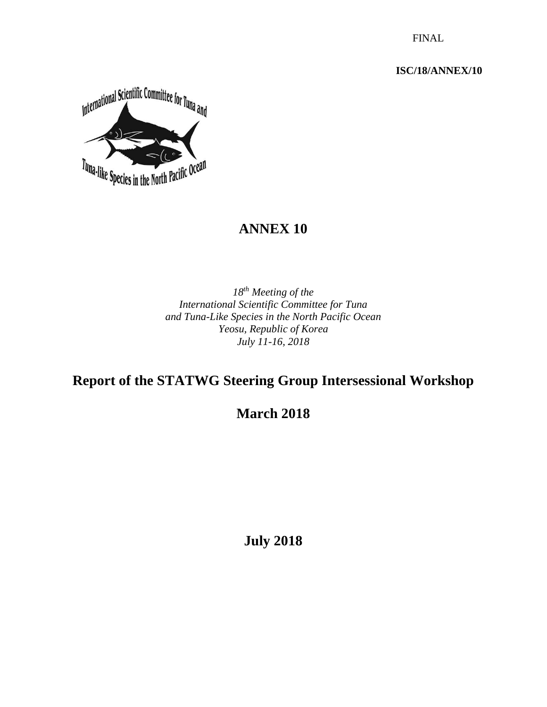FINAL

**ISC/18/ANNEX/10**



# **ANNEX 10**

*18th Meeting of the International Scientific Committee for Tuna and Tuna-Like Species in the North Pacific Ocean Yeosu, Republic of Korea July 11-16, 2018* 

# **Report of the STATWG Steering Group Intersessional Workshop**

**March 2018**

**July 2018**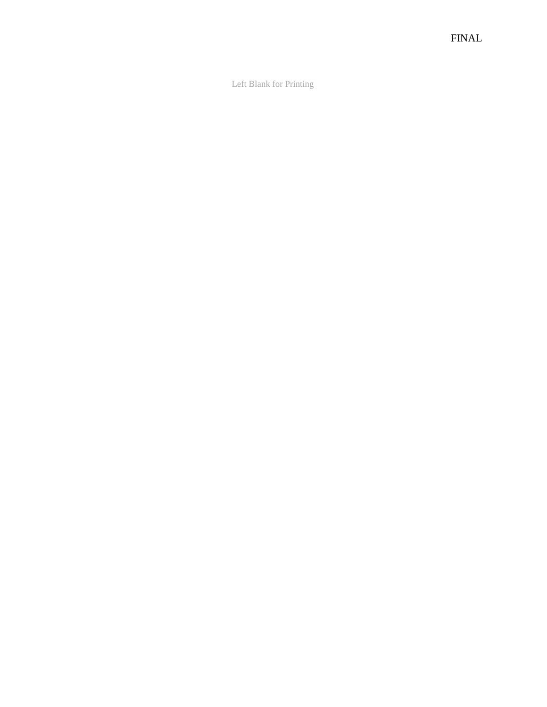Left Blank for Printing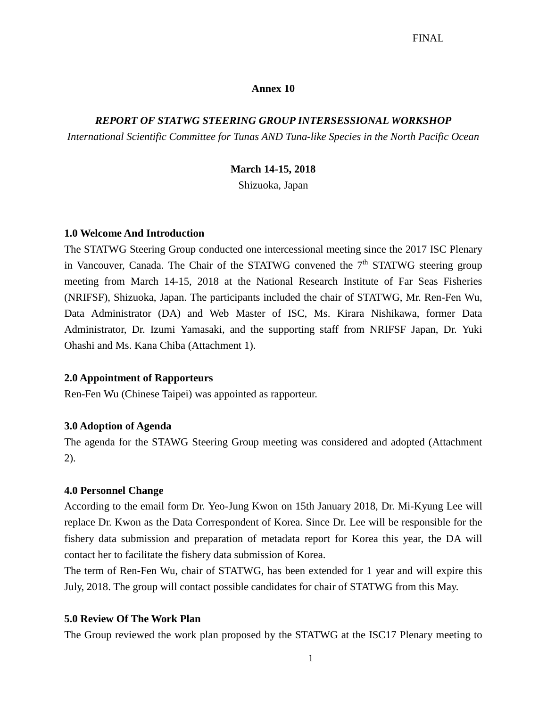#### **Annex 10**

#### *REPORT OF STATWG STEERING GROUP INTERSESSIONAL WORKSHOP*

*International Scientific Committee for Tunas AND Tuna-like Species in the North Pacific Ocean*

#### **March 14-15, 2018**

Shizuoka, Japan

#### **1.0 Welcome And Introduction**

The STATWG Steering Group conducted one intercessional meeting since the 2017 ISC Plenary in Vancouver, Canada. The Chair of the STATWG convened the 7<sup>th</sup> STATWG steering group meeting from March 14-15, 2018 at the National Research Institute of Far Seas Fisheries (NRIFSF), Shizuoka, Japan. The participants included the chair of STATWG, Mr. Ren-Fen Wu, Data Administrator (DA) and Web Master of ISC, Ms. Kirara Nishikawa, former Data Administrator, Dr. Izumi Yamasaki, and the supporting staff from NRIFSF Japan, Dr. Yuki Ohashi and Ms. Kana Chiba (Attachment 1).

#### **2.0 Appointment of Rapporteurs**

Ren-Fen Wu (Chinese Taipei) was appointed as rapporteur.

#### **3.0 Adoption of Agenda**

The agenda for the STAWG Steering Group meeting was considered and adopted (Attachment 2).

#### **4.0 Personnel Change**

According to the email form Dr. Yeo-Jung Kwon on 15th January 2018, Dr. Mi-Kyung Lee will replace Dr. Kwon as the Data Correspondent of Korea. Since Dr. Lee will be responsible for the fishery data submission and preparation of metadata report for Korea this year, the DA will contact her to facilitate the fishery data submission of Korea.

The term of Ren-Fen Wu, chair of STATWG, has been extended for 1 year and will expire this July, 2018. The group will contact possible candidates for chair of STATWG from this May.

#### **5.0 Review Of The Work Plan**

The Group reviewed the work plan proposed by the STATWG at the ISC17 Plenary meeting to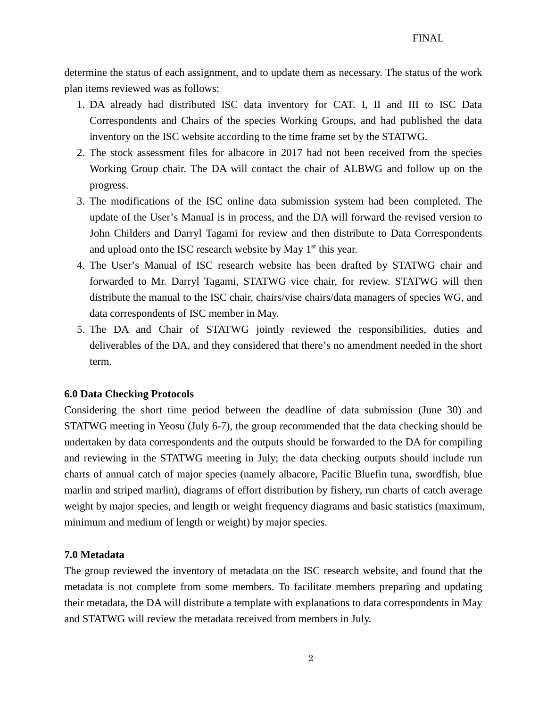determine the status of each assignment, and to update them as necessary. The status of the work plan items reviewed was as follows:

- 1. DA already had distributed ISC data inventory for CAT. I, II and III to ISC Data Correspondents and Chairs of the species Working Groups, and had published the data inventory on the ISC website according to the time frame set by the STATWG.
- 2. The stock assessment files for albacore in 2017 had not been received from the species Working Group chair. The DA will contact the chair of ALBWG and follow up on the progress.
- 3. The modifications of the ISC online data submission system had been completed. The update of the User's Manual is in process, and the DA will forward the revised version to John Childers and Darryl Tagami for review and then distribute to Data Correspondents and upload onto the ISC research website by May 1<sup>st</sup> this year.
- 4. The User's Manual of ISC research website has been drafted by STATWG chair and forwarded to Mr. Darryl Tagami, STATWG vice chair, for review. STATWG will then distribute the manual to the ISC chair, chairs/vise chairs/data managers of species WG, and data correspondents of ISC member in May.
- 5. The DA and Chair of STATWG jointly reviewed the responsibilities, duties and deliverables of the DA, and they considered that there's no amendment needed in the short term.

#### **6.0 Data Checking Protocols**

Considering the short time period between the deadline of data submission (June 30) and STATWG meeting in Yeosu (July 6-7), the group recommended that the data checking should be undertaken by data correspondents and the outputs should be forwarded to the DA for compiling and reviewing in the STATWG meeting in July; the data checking outputs should include run charts of annual catch of major species (namely albacore, Pacific Bluefin tuna, swordfish, blue marlin and striped marlin), diagrams of effort distribution by fishery, run charts of catch average weight by major species, and length or weight frequency diagrams and basic statistics (maximum, minimum and medium of length or weight) by major species.

#### **7.0 Metadata**

The group reviewed the inventory of metadata on the ISC research website, and found that the metadata is not complete from some members. To facilitate members preparing and updating their metadata, the DA will distribute a template with explanations to data correspondents in May and STATWG will review the metadata received from members in July.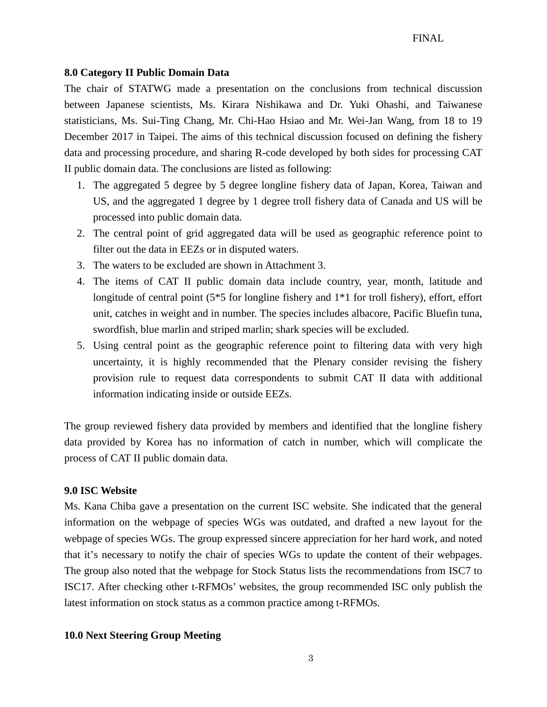#### **8.0 Category II Public Domain Data**

The chair of STATWG made a presentation on the conclusions from technical discussion between Japanese scientists, Ms. Kirara Nishikawa and Dr. Yuki Ohashi, and Taiwanese statisticians, Ms. Sui-Ting Chang, Mr. Chi-Hao Hsiao and Mr. Wei-Jan Wang, from 18 to 19 December 2017 in Taipei. The aims of this technical discussion focused on defining the fishery data and processing procedure, and sharing R-code developed by both sides for processing CAT II public domain data. The conclusions are listed as following:

- 1. The aggregated 5 degree by 5 degree longline fishery data of Japan, Korea, Taiwan and US, and the aggregated 1 degree by 1 degree troll fishery data of Canada and US will be processed into public domain data.
- 2. The central point of grid aggregated data will be used as geographic reference point to filter out the data in EEZs or in disputed waters.
- 3. The waters to be excluded are shown in Attachment 3.
- 4. The items of CAT II public domain data include country, year, month, latitude and longitude of central point (5\*5 for longline fishery and 1\*1 for troll fishery), effort, effort unit, catches in weight and in number. The species includes albacore, Pacific Bluefin tuna, swordfish, blue marlin and striped marlin; shark species will be excluded.
- 5. Using central point as the geographic reference point to filtering data with very high uncertainty, it is highly recommended that the Plenary consider revising the fishery provision rule to request data correspondents to submit CAT II data with additional information indicating inside or outside EEZs.

The group reviewed fishery data provided by members and identified that the longline fishery data provided by Korea has no information of catch in number, which will complicate the process of CAT II public domain data.

#### **9.0 ISC Website**

Ms. Kana Chiba gave a presentation on the current ISC website. She indicated that the general information on the webpage of species WGs was outdated, and drafted a new layout for the webpage of species WGs. The group expressed sincere appreciation for her hard work, and noted that it's necessary to notify the chair of species WGs to update the content of their webpages. The group also noted that the webpage for Stock Status lists the recommendations from ISC7 to ISC17. After checking other t-RFMOs' websites, the group recommended ISC only publish the latest information on stock status as a common practice among t-RFMOs.

#### **10.0 Next Steering Group Meeting**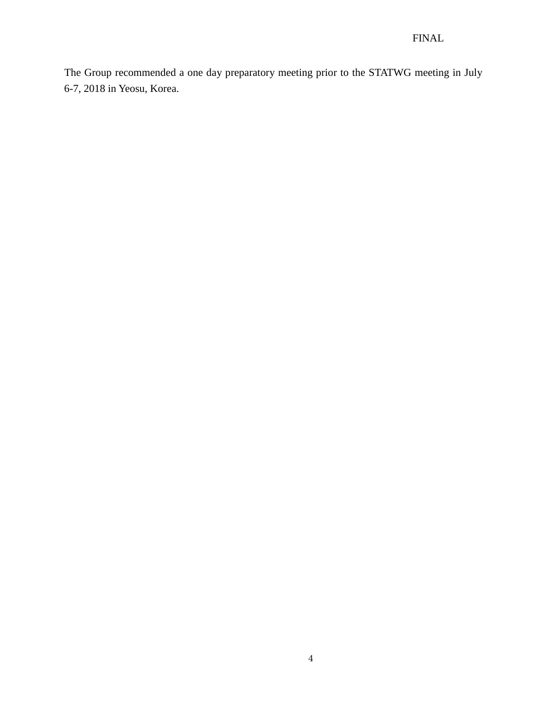The Group recommended a one day preparatory meeting prior to the STATWG meeting in July 6-7, 2018 in Yeosu, Korea.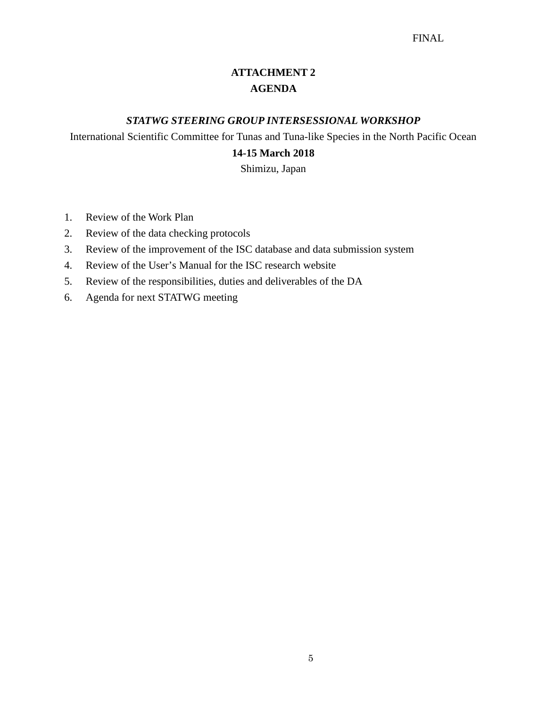### **ATTACHMENT 2 AGENDA**

#### *STATWG STEERING GROUP INTERSESSIONAL WORKSHOP*

International Scientific Committee for Tunas and Tuna-like Species in the North Pacific Ocean

### **14-15 March 2018**

Shimizu, Japan

- 1. Review of the Work Plan
- 2. Review of the data checking protocols
- 3. Review of the improvement of the ISC database and data submission system
- 4. Review of the User's Manual for the ISC research website
- 5. Review of the responsibilities, duties and deliverables of the DA
- 6. Agenda for next STATWG meeting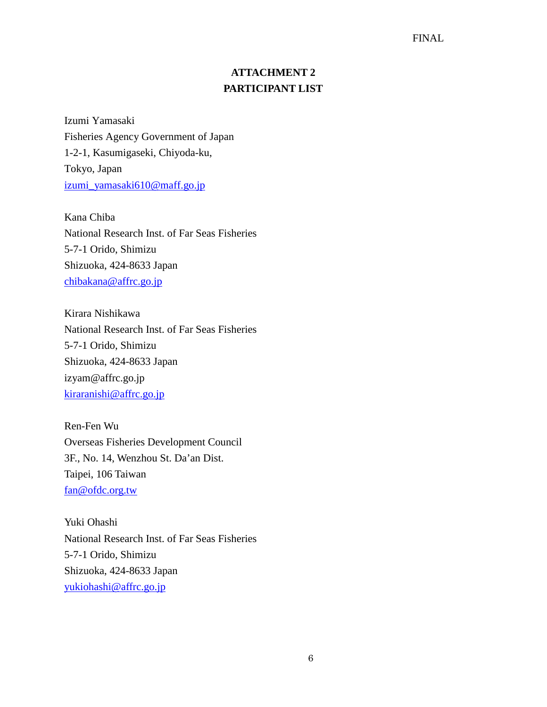#### FINAL

### **ATTACHMENT 2 PARTICIPANT LIST**

Izumi Yamasaki Fisheries Agency Government of Japan 1-2-1, Kasumigaseki, Chiyoda-ku, Tokyo, Japan [izumi\\_yamasaki610@maff.go.jp](mailto:izumi_yamasaki610@maff.go.jp)

Kana Chiba National Research Inst. of Far Seas Fisheries 5-7-1 Orido, Shimizu Shizuoka, 424-8633 Japan [chibakana@affrc.go.jp](mailto:chibakana@affrc.go.jp)

Kirara Nishikawa National Research Inst. of Far Seas Fisheries 5-7-1 Orido, Shimizu Shizuoka, 424-8633 Japan izyam@affrc.go.jp [kiraranishi@affrc.go.jp](mailto:kiraranishi@affrc.go.jp)

Ren-Fen Wu Overseas Fisheries Development Council 3F., No. 14, Wenzhou St. Da'an Dist. Taipei, 106 Taiwan [fan@ofdc.org.tw](mailto:fan@ofdc.org.tw)

Yuki Ohashi National Research Inst. of Far Seas Fisheries 5-7-1 Orido, Shimizu Shizuoka, 424-8633 Japan [yukiohashi@affrc.go.jp](mailto:yukiohashi@affrc.go.jp)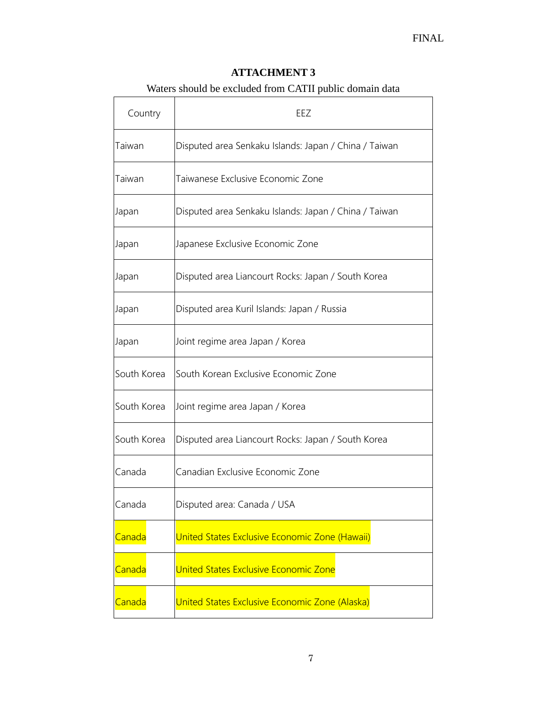### **ATTACHMENT 3**

## Waters should be excluded from CATII public domain data

| Country     | EEZ                                                   |
|-------------|-------------------------------------------------------|
| Taiwan      | Disputed area Senkaku Islands: Japan / China / Taiwan |
| Taiwan      | Taiwanese Exclusive Economic Zone                     |
| Japan       | Disputed area Senkaku Islands: Japan / China / Taiwan |
| Japan       | Japanese Exclusive Economic Zone                      |
| Japan       | Disputed area Liancourt Rocks: Japan / South Korea    |
| Japan       | Disputed area Kuril Islands: Japan / Russia           |
| Japan       | Joint regime area Japan / Korea                       |
| South Korea | South Korean Exclusive Economic Zone                  |
| South Korea | Joint regime area Japan / Korea                       |
| South Korea | Disputed area Liancourt Rocks: Japan / South Korea    |
| Canada      | Canadian Exclusive Economic Zone                      |
| Canada      | Disputed area: Canada / USA                           |
| Canada      | United States Exclusive Economic Zone (Hawaii)        |
| Canada      | United States Exclusive Economic Zone                 |
| Canada      | United States Exclusive Economic Zone (Alaska)        |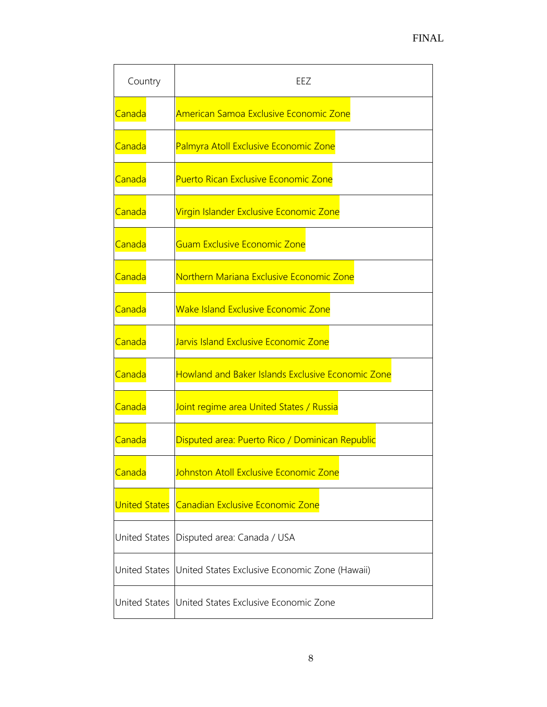| Country       | EEZ                                                          |
|---------------|--------------------------------------------------------------|
| Canada        | American Samoa Exclusive Economic Zone                       |
| Canada        | Palmyra Atoll Exclusive Economic Zone                        |
| Canada        | <b>Puerto Rican Exclusive Economic Zone</b>                  |
| Canada        | Virgin Islander Exclusive Economic Zone                      |
| Canada        | Guam Exclusive Economic Zone                                 |
| <b>Canada</b> | Northern Mariana Exclusive Economic Zone                     |
| Canada        | <b>Wake Island Exclusive Economic Zone</b>                   |
| Canada        | Jarvis Island Exclusive Economic Zone                        |
| Canada        | <b>Howland and Baker Islands Exclusive Economic Zone</b>     |
| Canada        | Joint regime area United States / Russia                     |
| Canada        | Disputed area: Puerto Rico / Dominican Republic              |
| Canada        | Johnston Atoll Exclusive Economic Zone                       |
|               | United States Canadian Exclusive Economic Zone               |
|               | United States   Disputed area: Canada / USA                  |
|               | United States United States Exclusive Economic Zone (Hawaii) |
|               | United States United States Exclusive Economic Zone          |